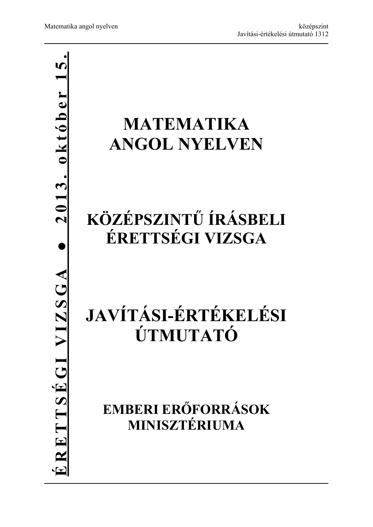# **● 2013. október 15.** $2013.$  október 1 **MATEMATIKA ANGOL NYELVEN KÖZÉPSZINTŰ ÍRÁSBELI ÉRETTSÉGI VIZSGA**  ERETTSEGI VIZSGA **ÉRETTSÉGI VIZSGA JAVÍTÁSI-ÉRTÉKELÉSI ÚTMUTATÓ EMBERI ERŐFORRÁSOK MINISZTÉRIUMA**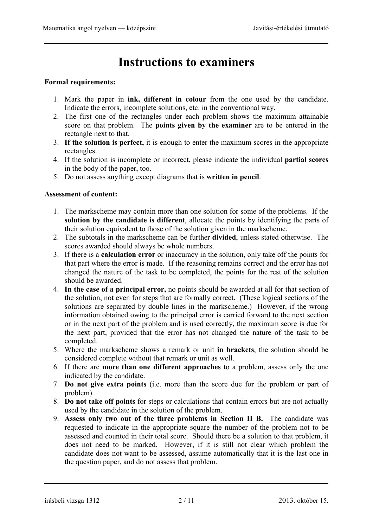## **Instructions to examiners**

#### **Formal requirements:**

- 1. Mark the paper in **ink, different in colour** from the one used by the candidate. Indicate the errors, incomplete solutions, etc. in the conventional way.
- 2. The first one of the rectangles under each problem shows the maximum attainable score on that problem. The **points given by the examiner** are to be entered in the rectangle next to that.
- 3. **If the solution is perfect,** it is enough to enter the maximum scores in the appropriate rectangles.
- 4. If the solution is incomplete or incorrect, please indicate the individual **partial scores** in the body of the paper, too.
- 5. Do not assess anything except diagrams that is **written in pencil**.

#### **Assessment of content:**

- 1. The markscheme may contain more than one solution for some of the problems. If the **solution by the candidate is different**, allocate the points by identifying the parts of their solution equivalent to those of the solution given in the markscheme.
- 2. The subtotals in the markscheme can be further **divided**, unless stated otherwise. The scores awarded should always be whole numbers.
- 3. If there is a **calculation error** or inaccuracy in the solution, only take off the points for that part where the error is made. If the reasoning remains correct and the error has not changed the nature of the task to be completed, the points for the rest of the solution should be awarded.
- 4. **In the case of a principal error,** no points should be awarded at all for that section of the solution, not even for steps that are formally correct. (These logical sections of the solutions are separated by double lines in the markscheme.) However, if the wrong information obtained owing to the principal error is carried forward to the next section or in the next part of the problem and is used correctly, the maximum score is due for the next part, provided that the error has not changed the nature of the task to be completed.
- 5. Where the markscheme shows a remark or unit **in brackets**, the solution should be considered complete without that remark or unit as well.
- 6. If there are **more than one different approaches** to a problem, assess only the one indicated by the candidate.
- 7. **Do not give extra points** (i.e. more than the score due for the problem or part of problem).
- 8. **Do not take off points** for steps or calculations that contain errors but are not actually used by the candidate in the solution of the problem.
- 9. **Assess only two out of the three problems in Section II B.** The candidate was requested to indicate in the appropriate square the number of the problem not to be assessed and counted in their total score. Should there be a solution to that problem, it does not need to be marked. However, if it is still not clear which problem the candidate does not want to be assessed, assume automatically that it is the last one in the question paper, and do not assess that problem.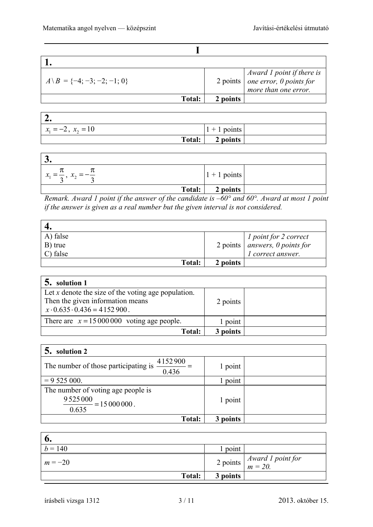| ٠ |
|---|
|   |
|   |
|   |

| $A \setminus B = \{-4; -3; -2; -1; 0\}$ |               |          | $2 points \begin{cases} Award 1 point if there is \\ one error, 0 points for \end{cases}$<br>more than one error. |
|-----------------------------------------|---------------|----------|-------------------------------------------------------------------------------------------------------------------|
|                                         | <b>Total:</b> | 2 points |                                                                                                                   |

| $x_1 = -2, x_2 = 10$ | $1 + 1$ points |  |
|----------------------|----------------|--|
| Total:               | $2$ points     |  |

| $\bullet$                                   |                |  |
|---------------------------------------------|----------------|--|
| $x_1 = \frac{\pi}{2}, x_2 = -\frac{\pi}{4}$ | $1 + 1$ points |  |
| Total:                                      | 2 points       |  |

*Remark. Award 1 point if the answer of the candidate is –60° and 60°. Award at most 1 point if the answer is given as a real number but the given interval is not considered.* 

| A) false |          |                                                                                        |
|----------|----------|----------------------------------------------------------------------------------------|
| B) true  |          | $2 points \begin{array}{c} 1 point for 2 correct \\ answers, 0 points for \end{array}$ |
| C) false |          | <i>l</i> correct answer.                                                               |
| Total:   | 2 points |                                                                                        |

| solution 1                                                                                                                           |          |  |
|--------------------------------------------------------------------------------------------------------------------------------------|----------|--|
| Let $x$ denote the size of the voting age population.<br>Then the given information means<br>$x \cdot 0.635 \cdot 0.436 = 4152900$ . | 2 points |  |
| There are $x = 15000000$ voting age people.                                                                                          | 1 point  |  |
| <b>Total:</b>                                                                                                                        | 3 points |  |

| solution 2                                                                     |          |  |
|--------------------------------------------------------------------------------|----------|--|
| 4152900<br>The number of those participating is<br>0.436                       | 1 point  |  |
| $= 9525000.$                                                                   | point    |  |
| The number of voting age people is<br>9 5 2 5 0 0 0<br>$= 15000000$ .<br>0.635 | 1 point  |  |
| Total:                                                                         | 3 points |  |

| $\mathbf{0}$ |          |                                                                     |
|--------------|----------|---------------------------------------------------------------------|
| $b = 140$    | point    |                                                                     |
| $m = -20$    |          | 2 points $\begin{cases} Award\ 1\ point for \\ m = 20. \end{cases}$ |
| Total:       | 3 points |                                                                     |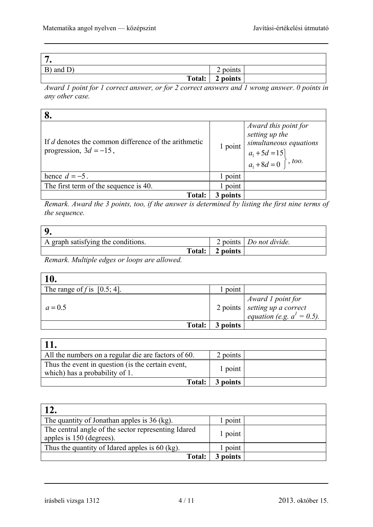| $\overline{ }$<br>$\bullet$ |          |
|-----------------------------|----------|
| B) and D)                   | 2 points |
| Total:                      | 2 points |

*Award 1 point for 1 correct answer, or for 2 correct answers and 1 wrong answer. 0 points in any other case.* 

| If d denotes the common difference of the arithmetic<br>progression, $3d = -15$ , | 1 point | Award this point for<br>setting up the<br>simultaneous equations<br>$a_1 + 5d = 15$<br>$a_1 + 8d = 0$ , too. |
|-----------------------------------------------------------------------------------|---------|--------------------------------------------------------------------------------------------------------------|
| hence $d = -5$ .                                                                  | point   |                                                                                                              |
| The first term of the sequence is 40.                                             | point   |                                                                                                              |
| <b>Total:</b>                                                                     | points  |                                                                                                              |

*Remark. Award the 3 points, too, if the answer is determined by listing the first nine terms of the sequence.*

| A graph satisfying the conditions. |        |          | 2 points   Do not divide. |
|------------------------------------|--------|----------|---------------------------|
|                                    | Total: | 2 points |                           |

*Remark. Multiple edges or loops are allowed.* 

| 10.                            |          |                                                                                                         |
|--------------------------------|----------|---------------------------------------------------------------------------------------------------------|
| The range of f is $[0.5; 4]$ . | point    |                                                                                                         |
| $a = 0.5$                      |          | $\begin{array}{c c c} & & Award & I point for \\ 2 points & setting up a correct \\ \hline \end{array}$ |
| Total:                         | 3 points |                                                                                                         |

| All the numbers on a regular die are factors of 60.                                 | 2 points |  |
|-------------------------------------------------------------------------------------|----------|--|
| Thus the event in question (is the certain event,<br>which) has a probability of 1. | 1 point  |  |
| Total:                                                                              | 3 points |  |

| 12.                                                                             |          |  |
|---------------------------------------------------------------------------------|----------|--|
| The quantity of Jonathan apples is 36 (kg).                                     | point    |  |
| The central angle of the sector representing Idared<br>apples is 150 (degrees). | 1 point  |  |
| Thus the quantity of Idared apples is 60 (kg).                                  | point    |  |
| <b>Total:</b>                                                                   | 3 points |  |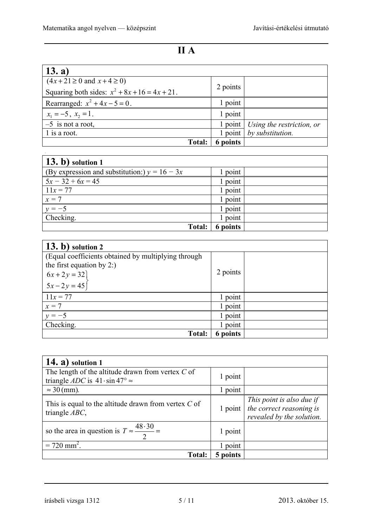| $\vert$ 13. a)                                   |          |                                          |
|--------------------------------------------------|----------|------------------------------------------|
| $(4x+21 \ge 0$ and $x+4 \ge 0)$                  | 2 points |                                          |
| Squaring both sides: $x^2 + 8x + 16 = 4x + 21$ . |          |                                          |
| Rearranged: $x^2 + 4x - 5 = 0$ .                 | 1 point  |                                          |
| $x_1 = -5$ , $x_2 = 1$ .                         | 1 point  |                                          |
| $-5$ is not a root,                              |          | 1 point   Using the restriction, or      |
| 1 is a root.                                     |          | $1$ point $\frac{1}{2}$ by substitution. |
| <b>Total:</b>                                    | 6 points |                                          |

| $(13. b)$ solution 1                            |          |  |
|-------------------------------------------------|----------|--|
| (By expression and substitution:) $y = 16 - 3x$ | 1 point  |  |
| $5x - 32 + 6x = 45$                             | 1 point  |  |
| $11x = 77$                                      | 1 point  |  |
| $x=7$                                           | 1 point  |  |
| $y = -5$                                        | 1 point  |  |
| Checking.                                       | 1 point  |  |
| <b>Total:</b>                                   | 6 points |  |

| $(13. b)$ solution 2                                |          |  |
|-----------------------------------------------------|----------|--|
| (Equal coefficients obtained by multiplying through |          |  |
| the first equation by $2$ :)                        |          |  |
|                                                     | 2 points |  |
| $6x + 2y = 32$ $5x - 2y = 45$                       |          |  |
| $11x = 77$                                          | 1 point  |  |
| $x=7$                                               | l point  |  |
| $v = -5$                                            | l point  |  |
| Checking.                                           | l point  |  |
| <b>Total:</b>                                       | 6 points |  |

| $14. a)$ solution 1                                                                                            |           |                                                                                    |
|----------------------------------------------------------------------------------------------------------------|-----------|------------------------------------------------------------------------------------|
| The length of the altitude drawn from vertex $C$ of<br>triangle <i>ADC</i> is $41 \cdot \sin 47^\circ \approx$ | 1 point   |                                                                                    |
| $\approx$ 30 (mm).                                                                                             | 1 point   |                                                                                    |
| This is equal to the altitude drawn from vertex $C$ of<br>triangle $ABC$ ,                                     | $1$ point | This point is also due if<br>the correct reasoning is<br>revealed by the solution. |
| so the area in question is $T \approx \frac{48.30}{ }$ =                                                       | 1 point   |                                                                                    |
| $= 720$ mm <sup>2</sup> .                                                                                      | 1 point   |                                                                                    |
| <b>Total:</b>                                                                                                  | 5 points  |                                                                                    |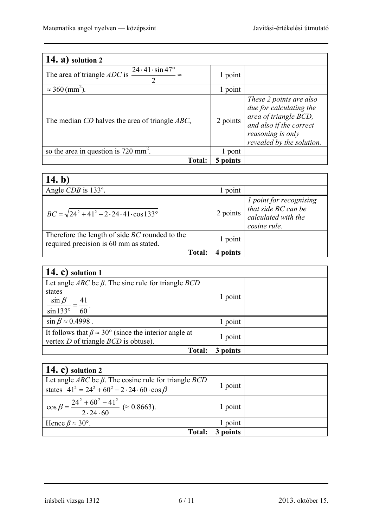| 14. $a^2$<br>solution 2                                                                   |          |                                                                                                                                                          |
|-------------------------------------------------------------------------------------------|----------|----------------------------------------------------------------------------------------------------------------------------------------------------------|
| The area of triangle <i>ADC</i> is $\frac{24 \cdot 41 \cdot \sin 47^{\circ}}{47^{\circ}}$ | 1 point  |                                                                                                                                                          |
| $\approx$ 360 (mm <sup>2</sup> )                                                          | 1 point  |                                                                                                                                                          |
| The median CD halves the area of triangle ABC,                                            | 2 points | These 2 points are also<br>due for calculating the<br>area of triangle BCD,<br>and also if the correct<br>reasoning is only<br>revealed by the solution. |
| so the area in question is $720 \text{ mm}^2$ .                                           | pont     |                                                                                                                                                          |
| <b>Total:</b>                                                                             | 5 points |                                                                                                                                                          |

| 14. b)                                                                                          |          |                                                                                         |
|-------------------------------------------------------------------------------------------------|----------|-----------------------------------------------------------------------------------------|
| Angle CDB is 133°.                                                                              | point    |                                                                                         |
| $BC = \sqrt{24^2 + 41^2 - 2 \cdot 24 \cdot 41 \cdot \cos 133^\circ}$                            | 2 points | 1 point for recognising<br>that side $BC$ can be<br>calculated with the<br>cosine rule. |
| Therefore the length of side <i>BC</i> rounded to the<br>required precision is 60 mm as stated. | 1 point  |                                                                                         |
| Total:                                                                                          | points   |                                                                                         |

| 14. c) solution $1$                                                                                                 |          |  |
|---------------------------------------------------------------------------------------------------------------------|----------|--|
| Let angle <i>ABC</i> be $\beta$ . The sine rule for triangle <i>BCD</i><br>states<br>$\sin \beta$<br>$\frac{41}{1}$ | 1 point  |  |
| $\sin 133^\circ$<br>60                                                                                              |          |  |
| $\sin \beta \approx 0.4998$ .                                                                                       | 1 point  |  |
| It follows that $\beta \approx 30^{\circ}$ (since the interior angle at<br>vertex $D$ of triangle $BCD$ is obtuse). | 1 point  |  |
| Total:                                                                                                              | 3 points |  |

| 14. c) solution $2$                                                                                                                             |          |  |
|-------------------------------------------------------------------------------------------------------------------------------------------------|----------|--|
| Let angle <i>ABC</i> be $\beta$ . The cosine rule for triangle <i>BCD</i><br>states $41^2 = 24^2 + 60^2 - 2 \cdot 24 \cdot 60 \cdot \cos \beta$ | 1 point  |  |
| $\cos \beta = \frac{24^2 + 60^2 - 41^2}{2 \cdot 24 \cdot 60}$ ( $\approx 0.8663$ ).                                                             | 1 point  |  |
| Hence $\beta \approx 30^{\circ}$ .                                                                                                              | 1 point  |  |
| <b>Total:</b>                                                                                                                                   | 3 points |  |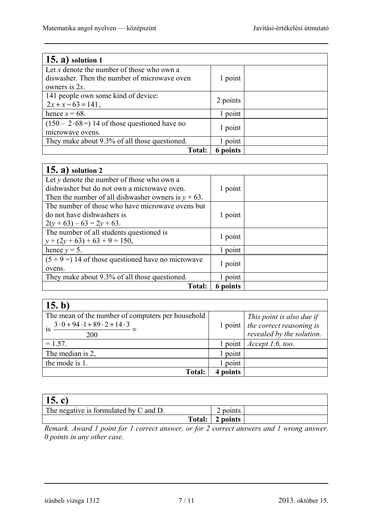| $(15. a)$ solution 1                          |                 |  |
|-----------------------------------------------|-----------------|--|
| Let x denote the number of those who own a    |                 |  |
| diswasher. Then the number of microwave oven  | 1 point         |  |
| owners is $2x$ .                              |                 |  |
| 141 people own some kind of device:           |                 |  |
| $2x + x - 63 = 141$ ,                         | 2 points        |  |
| hence $x = 68$ .                              | 1 point         |  |
| $(150 - 2.68)$ 14 of those questioned have no |                 |  |
| microwave ovens.                              | 1 point         |  |
| They make about 9.3% of all those questioned. | 1 point         |  |
| <b>Total:</b>                                 | <b>6</b> points |  |

| $(15. a)$ solution 2                                   |          |  |
|--------------------------------------------------------|----------|--|
| Let $y$ denote the number of those who own a           |          |  |
| dishwasher but do not own a microwave oven.            | 1 point  |  |
| Then the number of all dishwasher owners is $y + 63$ . |          |  |
| The number of those who have microwave ovens but       |          |  |
| do not have dishwashers is                             | 1 point  |  |
| $2(y+63)-63=2y+63$ .                                   |          |  |
| The number of all students questioned is               |          |  |
| $y + (2y + 63) + 63 + 9 = 150$ ,                       | 1 point  |  |
| hence $y = 5$ .                                        | 1 point  |  |
| $(5 + 9)$ 14 of those questioned have no microwave     |          |  |
| ovens.                                                 | 1 point  |  |
| They make about 9.3% of all those questioned.          | 1 point  |  |
| <b>Total:</b>                                          | 6 points |  |

| (15. b)                                                                                      |                   |                                                                   |
|----------------------------------------------------------------------------------------------|-------------------|-------------------------------------------------------------------|
| The mean of the number of computers per household<br>$3.0 + 94.1 + 89.2 + 14.3$<br><b>1S</b> |                   | This point is also due if<br>1 point $ $ the correct reasoning is |
| 200                                                                                          |                   | revealed by the solution.                                         |
| $= 1.57.$                                                                                    | $1$ point $\vert$ | Accept 1.6, too.                                                  |
| The median is 2,                                                                             | l point           |                                                                   |
| the mode is 1.                                                                               | l point           |                                                                   |
| <b>Total:</b>                                                                                | points            |                                                                   |

| 15. c)                                 |        |                 |  |
|----------------------------------------|--------|-----------------|--|
| The negative is formulated by C and D. |        | $\angle$ points |  |
|                                        | Total: | 2 points        |  |
| the contract of the contract of the    |        |                 |  |

*Remark. Award 1 point for 1 correct answer, or for 2 correct answers and 1 wrong answer. 0 points in any other case.*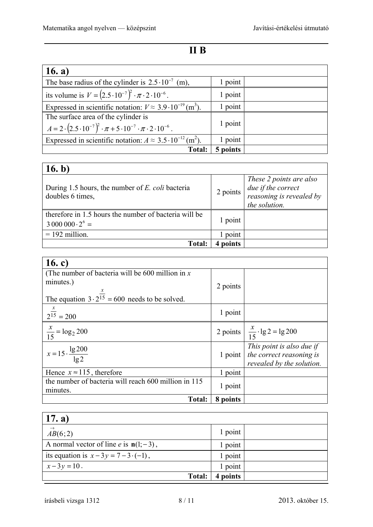### **II B**

| 16. $a)$                                                                                          |          |  |
|---------------------------------------------------------------------------------------------------|----------|--|
| The base radius of the cylinder is $2.5 \cdot 10^{-7}$ (m),                                       | 1 point  |  |
| its volume is $V = (2.5 \cdot 10^{-7})^2 \cdot \pi \cdot 2 \cdot 10^{-6}$ .                       | 1 point  |  |
| Expressed in scientific notation: $V \approx 3.9 \cdot 10^{-19}$ (m <sup>3</sup> ).               | 1 point  |  |
| The surface area of the cylinder is                                                               |          |  |
| $A = 2 \cdot (2.5 \cdot 10^{-7})^2 \cdot \pi + 5 \cdot 10^{-7} \cdot \pi \cdot 2 \cdot 10^{-6}$ . | 1 point  |  |
| Expressed in scientific notation: $A \approx 3.5 \cdot 10^{-12}$ (m <sup>2</sup> ).               | 1 point  |  |
| <b>Total:</b>                                                                                     | 5 points |  |

| 16. b)                                                                          |          |                                                                                            |
|---------------------------------------------------------------------------------|----------|--------------------------------------------------------------------------------------------|
| During 1.5 hours, the number of <i>E. coli</i> bacteria<br>doubles 6 times,     | 2 points | These 2 points are also<br>due if the correct<br>reasoning is revealed by<br>the solution. |
| therefore in 1.5 hours the number of bacteria will be<br>$30000000 \cdot 2^6 =$ | 1 point  |                                                                                            |
| $= 192$ million.                                                                | point    |                                                                                            |
| <b>Total:</b>                                                                   | points   |                                                                                            |

| 16. c)                                                            |          |                                                                                    |
|-------------------------------------------------------------------|----------|------------------------------------------------------------------------------------|
| (The number of bacteria will be 600 million in $x$ )              |          |                                                                                    |
| minutes.)                                                         | 2 points |                                                                                    |
| The equation $3 \cdot 2^{\frac{x}{15}} = 600$ needs to be solved. |          |                                                                                    |
|                                                                   |          |                                                                                    |
| $2^{\frac{x}{15}} = 200$                                          | 1 point  |                                                                                    |
|                                                                   |          |                                                                                    |
| $\frac{x}{15} = \log_2 200$                                       |          | 2 points $\frac{x}{15} \cdot \lg 2 = \lg 200$                                      |
| $x = 15 \cdot \frac{\lg 200}{\lg 2}$                              | 1 point  | This point is also due if<br>the correct reasoning is<br>revealed by the solution. |
| Hence $x \approx 115$ , therefore                                 | 1 point  |                                                                                    |
| the number of bacteria will reach 600 million in 115              | 1 point  |                                                                                    |
| minutes.                                                          |          |                                                                                    |
| <b>Total:</b>                                                     | 8 points |                                                                                    |

| 17. a)                                           |          |  |
|--------------------------------------------------|----------|--|
| $\rightarrow$<br>AB(6;2)                         | 1 point  |  |
| A normal vector of line <i>e</i> is $n(l; -3)$ , | 1 point  |  |
| its equation is $x-3y = 7-3 \cdot (-1)$ ,        | 1 point  |  |
| $x-3y=10$ .                                      | 1 point  |  |
| <b>Total:</b>                                    | 4 points |  |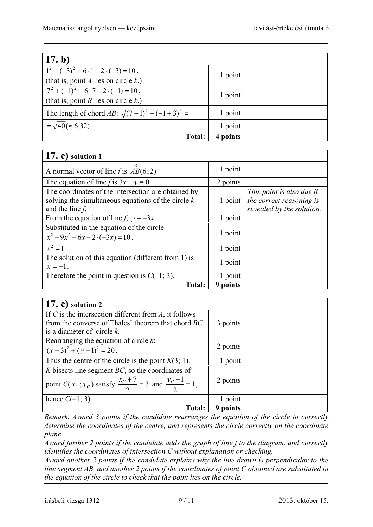| 17. b)                                                                                      |             |  |
|---------------------------------------------------------------------------------------------|-------------|--|
| $1^2 + (-3)^2 - 6 \cdot 1 - 2 \cdot (-3) = 10$ ,<br>(that is, point A lies on circle $k$ .) | 1 point     |  |
|                                                                                             |             |  |
| $7^2 + (-1)^2 - 6 \cdot 7 - 2 \cdot (-1) = 10$ ,                                            | 1 point     |  |
| (that is, point <i>B</i> lies on circle $k$ .)                                              |             |  |
| The length of chord AB: $\sqrt{(7-1)^2 + (-1+3)^2} =$                                       | 1 point     |  |
| $=\sqrt{40}$ ( $\approx 6.32$ ).                                                            | 1 point     |  |
| <b>Total:</b>                                                                               | points<br>4 |  |

| $(17, c)$ solution 1                                                                                                              |          |                                                                                    |
|-----------------------------------------------------------------------------------------------------------------------------------|----------|------------------------------------------------------------------------------------|
| $\rightarrow$<br>A normal vector of line f is $AB(6,2)$                                                                           | 1 point  |                                                                                    |
| The equation of line f is $3x + y = 0$ .                                                                                          | 2 points |                                                                                    |
| The coordinates of the intersection are obtained by<br>solving the simultaneous equations of the circle $k$<br>and the line $f$ . | 1 point  | This point is also due if<br>the correct reasoning is<br>revealed by the solution. |
| From the equation of line f, $y = -3x$ .                                                                                          | 1 point  |                                                                                    |
| Substituted in the equation of the circle:<br>$x^2 + 9x^2 - 6x - 2 \cdot (-3x) = 10$ .                                            | 1 point  |                                                                                    |
| $x^2 = 1$                                                                                                                         | 1 point  |                                                                                    |
| The solution of this equation (different from 1) is<br>$x=-1$ .                                                                   | 1 point  |                                                                                    |
| Therefore the point in question is $C(-1, 3)$ .                                                                                   | 1 point  |                                                                                    |
| <b>Total:</b>                                                                                                                     | 9 points |                                                                                    |

| $(17, c)$ solution 2                                                          |          |  |
|-------------------------------------------------------------------------------|----------|--|
| If C is the intersection different from $A$ , it follows                      |          |  |
| from the converse of Thales' theorem that chord BC                            | 3 points |  |
| is a diameter of circle $k$ .                                                 |          |  |
| Rearranging the equation of circle $k$ :                                      |          |  |
| $(x-3)^2 + (y-1)^2 = 20$ .                                                    | 2 points |  |
| Thus the centre of the circle is the point $K(3; 1)$ .                        | 1 point  |  |
| K bisects line segment $BC$ , so the coordinates of                           |          |  |
| point $C(x_c; y_c)$ satisfy $\frac{x_c+7}{2} = 3$ and $\frac{y_c-1}{2} = 1$ , | 2 points |  |
| hence $C(-1; 3)$ .                                                            | 1 point  |  |
| <b>Total:</b>                                                                 | 9 points |  |

*Remark. Award 3 points if the candidate rearranges the equation of the circle to correctly determine the coordinates of the centre, and represents the circle correctly on the coordinate plane.* 

*Award further 2 points if the candidate adds the graph of line f to the diagram, and correctly identifies the coordinates of intersection C without explanation or checking.* 

*Award another 2 points if the candidate explains why the line drawn is perpendicular to the line segment AB, and another 2 points if the coordinates of point C obtained are substituted in the equation of the circle to check that the point lies on the circle.*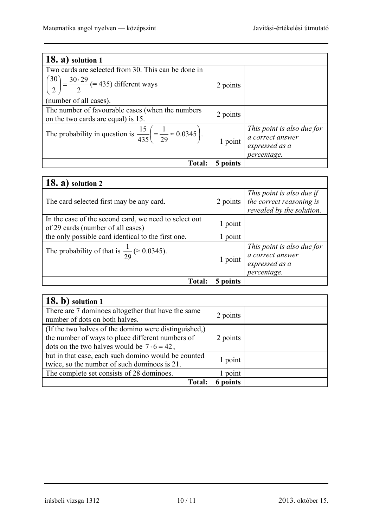| $18. a)$ solution 1                                                                            |          |                            |
|------------------------------------------------------------------------------------------------|----------|----------------------------|
| Two cards are selected from 30. This can be done in                                            |          |                            |
| $\left(\frac{30}{2}\right) = \frac{30.29}{2}$ (= 435) different ways                           | 2 points |                            |
| (number of all cases).                                                                         |          |                            |
| The number of favourable cases (when the numbers<br>on the two cards are equal) is 15.         | 2 points |                            |
|                                                                                                |          | This point is also due for |
| The probability in question is $\frac{15}{435} \left( = \frac{1}{29} \approx 0.0345 \right)$ . |          |                            |
|                                                                                                | 1 point  | a correct answer           |
|                                                                                                |          | expressed as a             |
|                                                                                                |          | percentage.                |
| <b>Total:</b>                                                                                  | 5 points |                            |

| $18. a)$ solution 2                                                                        |          |                                                                                    |
|--------------------------------------------------------------------------------------------|----------|------------------------------------------------------------------------------------|
| The card selected first may be any card.                                                   | 2 points | This point is also due if<br>the correct reasoning is<br>revealed by the solution. |
| In the case of the second card, we need to select out<br>of 29 cards (number of all cases) | 1 point  |                                                                                    |
| the only possible card identical to the first one.                                         | 1 point  |                                                                                    |
| The probability of that is $\frac{1}{29}$ ( $\approx 0.0345$ ).                            | 1 point  | This point is also due for<br>a correct answer<br>expressed as a<br>percentage.    |
| <b>Total:</b>                                                                              | 5 noints |                                                                                    |

| $(18. b)$ solution 1                                                                                                                                            |          |  |
|-----------------------------------------------------------------------------------------------------------------------------------------------------------------|----------|--|
| There are 7 dominoes altogether that have the same<br>number of dots on both halves.                                                                            | 2 points |  |
| (If the two halves of the domino were distinguished,)<br>the number of ways to place different numbers of<br>dots on the two halves would be $7 \cdot 6 = 42$ , | 2 points |  |
| but in that case, each such domino would be counted<br>twice, so the number of such dominoes is 21.                                                             | 1 point  |  |
| The complete set consists of 28 dominoes.                                                                                                                       | l point  |  |
| <b>Total:</b>                                                                                                                                                   | 6 points |  |